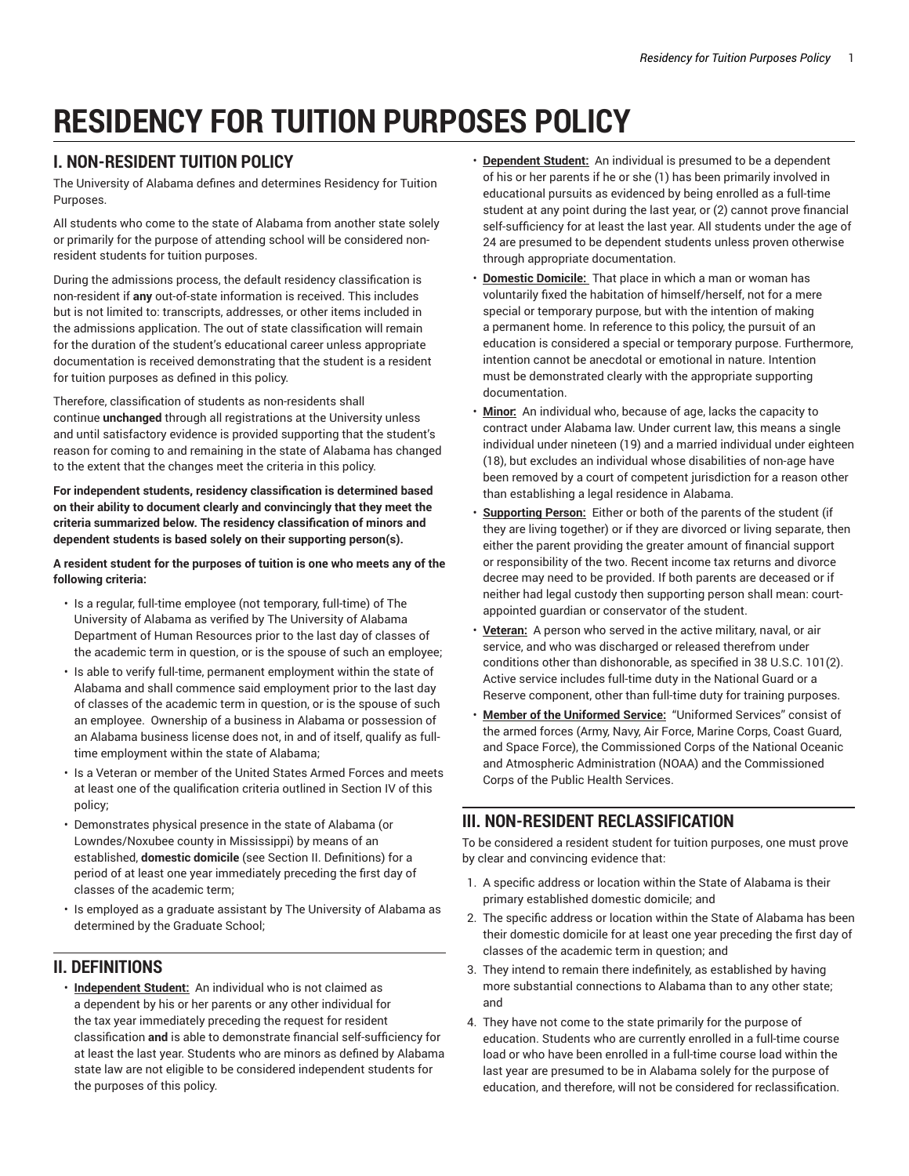# **RESIDENCY FOR TUITION PURPOSES POLICY**

# **I. NON-RESIDENT TUITION POLICY**

The University of Alabama defines and determines Residency for Tuition Purposes.

All students who come to the state of Alabama from another state solely or primarily for the purpose of attending school will be considered nonresident students for tuition purposes.

During the admissions process, the default residency classification is non-resident if **any** out-of-state information is received. This includes but is not limited to: transcripts, addresses, or other items included in the admissions application. The out of state classification will remain for the duration of the student's educational career unless appropriate documentation is received demonstrating that the student is a resident for tuition purposes as defined in this policy.

Therefore, classification of students as non-residents shall continue **unchanged** through all registrations at the University unless and until satisfactory evidence is provided supporting that the student's reason for coming to and remaining in the state of Alabama has changed to the extent that the changes meet the criteria in this policy.

**For independent students, residency classification is determined based on their ability to document clearly and convincingly that they meet the criteria summarized below. The residency classification of minors and dependent students is based solely on their supporting person(s).**

**A resident student for the purposes of tuition is one who meets any of the following criteria:**

- Is a regular, full-time employee (not temporary, full-time) of The University of Alabama as verified by The University of Alabama Department of Human Resources prior to the last day of classes of the academic term in question, or is the spouse of such an employee;
- Is able to verify full-time, permanent employment within the state of Alabama and shall commence said employment prior to the last day of classes of the academic term in question, or is the spouse of such an employee. Ownership of a business in Alabama or possession of an Alabama business license does not, in and of itself, qualify as fulltime employment within the state of Alabama;
- Is a Veteran or member of the United States Armed Forces and meets at least one of the qualification criteria outlined in Section IV of this policy;
- Demonstrates physical presence in the state of Alabama (or Lowndes/Noxubee county in Mississippi) by means of an established, **domestic domicile** (see Section II. Definitions) for a period of at least one year immediately preceding the first day of classes of the academic term;
- Is employed as a graduate assistant by The University of Alabama as determined by the Graduate School;

# **II. DEFINITIONS**

• **Independent Student:** An individual who is not claimed as a dependent by his or her parents or any other individual for the tax year immediately preceding the request for resident classification **and** is able to demonstrate financial self-sufficiency for at least the last year. Students who are minors as defined by Alabama state law are not eligible to be considered independent students for the purposes of this policy.

- **Dependent Student:** An individual is presumed to be a dependent of his or her parents if he or she (1) has been primarily involved in educational pursuits as evidenced by being enrolled as a full-time student at any point during the last year, or (2) cannot prove financial self-sufficiency for at least the last year. All students under the age of 24 are presumed to be dependent students unless proven otherwise through appropriate documentation.
- **Domestic Domicile:** That place in which a man or woman has voluntarily fixed the habitation of himself/herself, not for a mere special or temporary purpose, but with the intention of making a permanent home. In reference to this policy, the pursuit of an education is considered a special or temporary purpose. Furthermore, intention cannot be anecdotal or emotional in nature. Intention must be demonstrated clearly with the appropriate supporting documentation.
- **Minor:** An individual who, because of age, lacks the capacity to contract under Alabama law. Under current law, this means a single individual under nineteen (19) and a married individual under eighteen (18), but excludes an individual whose disabilities of non-age have been removed by a court of competent jurisdiction for a reason other than establishing a legal residence in Alabama.
- **Supporting Person:** Either or both of the parents of the student (if they are living together) or if they are divorced or living separate, then either the parent providing the greater amount of financial support or responsibility of the two. Recent income tax returns and divorce decree may need to be provided. If both parents are deceased or if neither had legal custody then supporting person shall mean: courtappointed guardian or conservator of the student.
- **Veteran:** A person who served in the active military, naval, or air service, and who was discharged or released therefrom under conditions other than dishonorable, as specified in 38 U.S.C. 101(2). Active service includes full-time duty in the National Guard or a Reserve component, other than full-time duty for training purposes.
- **Member of the Uniformed Service:** "Uniformed Services" consist of the armed forces (Army, Navy, Air Force, Marine Corps, Coast Guard, and Space Force), the Commissioned Corps of the National Oceanic and Atmospheric Administration (NOAA) and the Commissioned Corps of the Public Health Services.

# **III. NON-RESIDENT RECLASSIFICATION**

To be considered a resident student for tuition purposes, one must prove by clear and convincing evidence that:

- 1. A specific address or location within the State of Alabama is their primary established domestic domicile; and
- 2. The specific address or location within the State of Alabama has been their domestic domicile for at least one year preceding the first day of classes of the academic term in question; and
- 3. They intend to remain there indefinitely, as established by having more substantial connections to Alabama than to any other state; and
- 4. They have not come to the state primarily for the purpose of education. Students who are currently enrolled in a full-time course load or who have been enrolled in a full-time course load within the last year are presumed to be in Alabama solely for the purpose of education, and therefore, will not be considered for reclassification.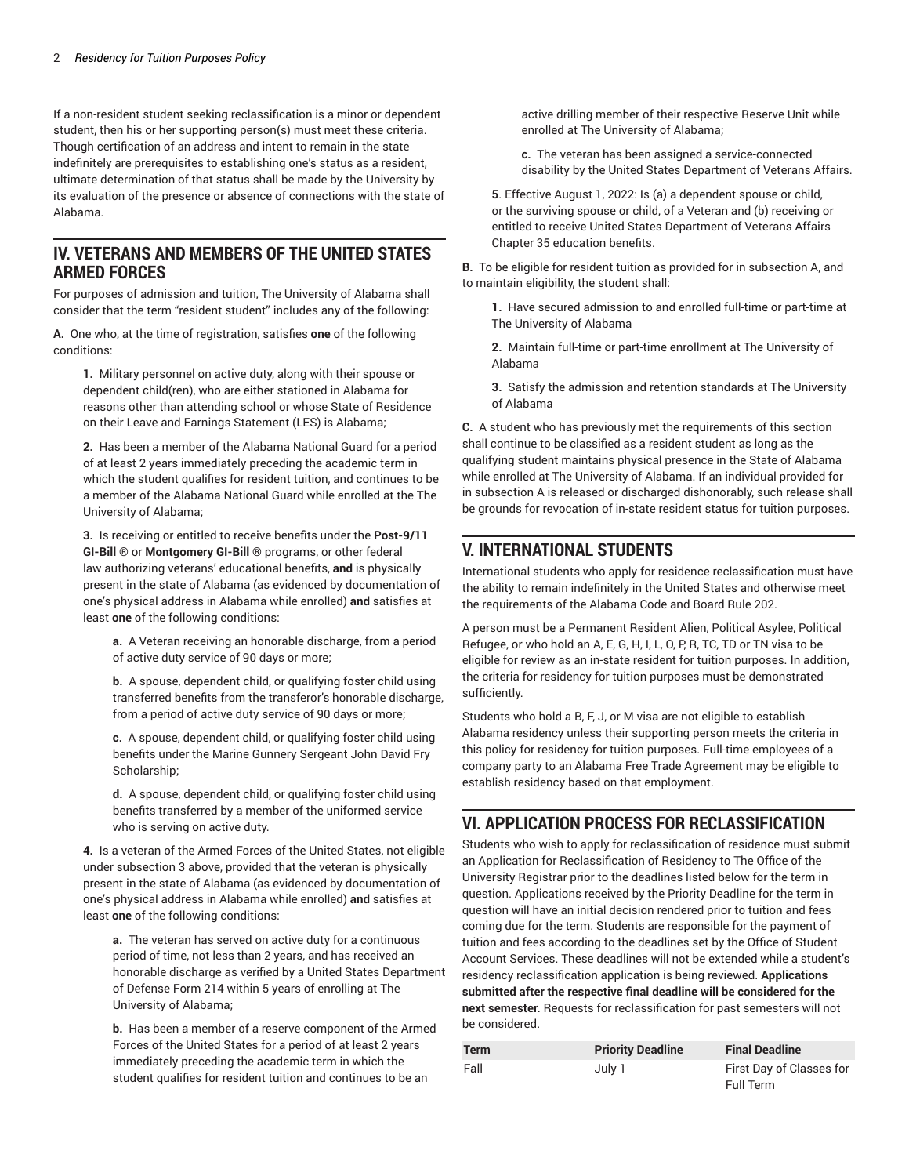If a non-resident student seeking reclassification is a minor or dependent student, then his or her supporting person(s) must meet these criteria. Though certification of an address and intent to remain in the state indefinitely are prerequisites to establishing one's status as a resident, ultimate determination of that status shall be made by the University by its evaluation of the presence or absence of connections with the state of Alabama.

#### **IV. VETERANS AND MEMBERS OF THE UNITED STATES ARMED FORCES**

For purposes of admission and tuition, The University of Alabama shall consider that the term "resident student" includes any of the following:

**A.** One who, at the time of registration, satisfies **one** of the following conditions:

**1.** Military personnel on active duty, along with their spouse or dependent child(ren), who are either stationed in Alabama for reasons other than attending school or whose State of Residence on their Leave and Earnings Statement (LES) is Alabama;

**2.** Has been a member of the Alabama National Guard for a period of at least 2 years immediately preceding the academic term in which the student qualifies for resident tuition, and continues to be a member of the Alabama National Guard while enrolled at the The University of Alabama;

**3.** Is receiving or entitled to receive benefits under the **Post-9/11 GI-Bill** ® or **Montgomery GI-Bill** ® programs, or other federal law authorizing veterans' educational benefits, **and** is physically present in the state of Alabama (as evidenced by documentation of one's physical address in Alabama while enrolled) **and** satisfies at least **one** of the following conditions:

**a.**  A Veteran receiving an honorable discharge, from a period of active duty service of 90 days or more;

**b.** A spouse, dependent child, or qualifying foster child using transferred benefits from the transferor's honorable discharge, from a period of active duty service of 90 days or more;

**c.** A spouse, dependent child, or qualifying foster child using benefits under the Marine Gunnery Sergeant John David Fry Scholarship;

**d.** A spouse, dependent child, or qualifying foster child using benefits transferred by a member of the uniformed service who is serving on active duty.

**4.** Is a veteran of the Armed Forces of the United States, not eligible under subsection 3 above, provided that the veteran is physically present in the state of Alabama (as evidenced by documentation of one's physical address in Alabama while enrolled) **and** satisfies at least **one** of the following conditions:

**a.** The veteran has served on active duty for a continuous period of time, not less than 2 years, and has received an honorable discharge as verified by a United States Department of Defense Form 214 within 5 years of enrolling at The University of Alabama;

**b.** Has been a member of a reserve component of the Armed Forces of the United States for a period of at least 2 years immediately preceding the academic term in which the student qualifies for resident tuition and continues to be an

active drilling member of their respective Reserve Unit while enrolled at The University of Alabama;

**c.** The veteran has been assigned a service-connected disability by the United States Department of Veterans Affairs.

**5**. Effective August 1, 2022: Is (a) a dependent spouse or child, or the surviving spouse or child, of a Veteran and (b) receiving or entitled to receive United States Department of Veterans Affairs Chapter 35 education benefits.

**B.** To be eligible for resident tuition as provided for in subsection A, and to maintain eligibility, the student shall:

**1.** Have secured admission to and enrolled full-time or part-time at The University of Alabama

**2.** Maintain full-time or part-time enrollment at The University of Alabama

**3.** Satisfy the admission and retention standards at The University of Alabama

**C.** A student who has previously met the requirements of this section shall continue to be classified as a resident student as long as the qualifying student maintains physical presence in the State of Alabama while enrolled at The University of Alabama. If an individual provided for in subsection A is released or discharged dishonorably, such release shall be grounds for revocation of in-state resident status for tuition purposes.

# **V. INTERNATIONAL STUDENTS**

International students who apply for residence reclassification must have the ability to remain indefinitely in the United States and otherwise meet the requirements of the Alabama Code and Board Rule 202.

A person must be a Permanent Resident Alien, Political Asylee, Political Refugee, or who hold an A, E, G, H, I, L, O, P, R, TC, TD or TN visa to be eligible for review as an in-state resident for tuition purposes. In addition, the criteria for residency for tuition purposes must be demonstrated sufficiently.

Students who hold a B, F, J, or M visa are not eligible to establish Alabama residency unless their supporting person meets the criteria in this policy for residency for tuition purposes. Full-time employees of a company party to an Alabama Free Trade Agreement may be eligible to establish residency based on that employment.

#### **VI. APPLICATION PROCESS FOR RECLASSIFICATION**

Students who wish to apply for reclassification of residence must submit an [Application for Reclassification of Residency](https://ua-app01.ua.edu/onlineResidency/public/onlineResidencyApplication/) to The Office of the University Registrar prior to the deadlines listed below for the term in question. Applications received by the Priority Deadline for the term in question will have an initial decision rendered prior to tuition and fees coming due for the term. Students are responsible for the payment of tuition and fees according to the deadlines set by the Office of Student Account Services. These deadlines will not be extended while a student's residency reclassification application is being reviewed. **Applications submitted after the respective final deadline will be considered for the next semester.** Requests for reclassification for past semesters will not be considered.

| <b>Term</b> | <b>Priority Deadline</b> | <b>Final Deadline</b>    |
|-------------|--------------------------|--------------------------|
| Fall        | July 1                   | First Day of Classes for |
|             |                          | Full Term                |